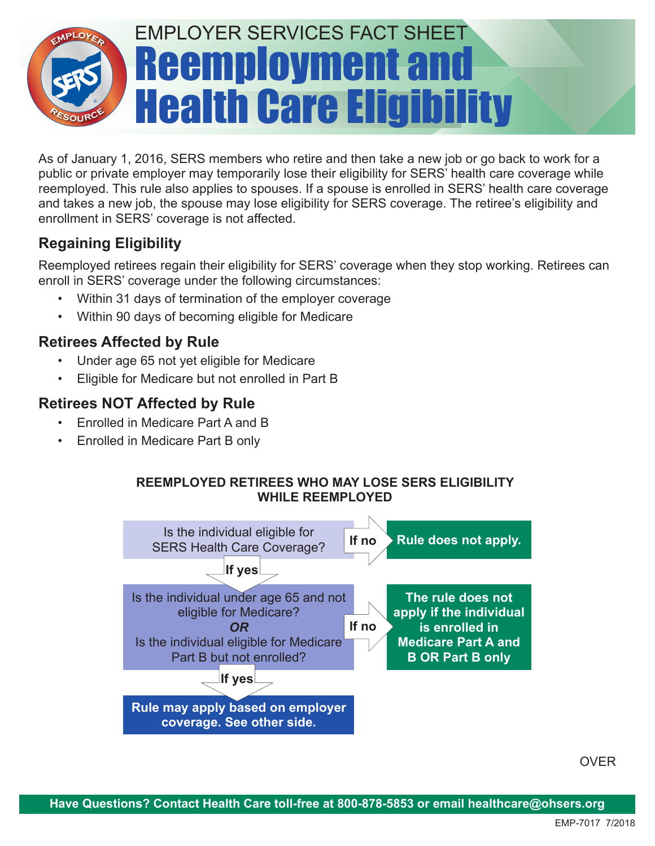

As of January 1, 2016, SERS members who retire and then take a new job or go back to work for a public or private employer may temporarily lose their eligibility for SERS' health care coverage while reemployed. This rule also applies to spouses. If a spouse is enrolled in SERS' health care coverage and takes a new job, the spouse may lose eligibility for SERS coverage. The retiree's eligibility and enrollment in SERS' coverage is not affected.

# **Regaining Eligibility**

Reemployed retirees regain their eligibility for SERS' coverage when they stop working. Retirees can enroll in SERS' coverage under the following circumstances:

- Within 31 days of termination of the employer coverage
- Within 90 days of becoming eligible for Medicare

## **Retirees Affected by Rule**

- Under age 65 not yet eligible for Medicare
- Eligible for Medicare but not enrolled in Part B

## **Retirees NOT Affected by Rule**

- Enrolled in Medicare Part A and B
- Enrolled in Medicare Part B only

#### **REEMPLOYED RETIREES WHO MAY LOSE SERS ELIGIBILITY WHILE REEMPLOYED**



OVER